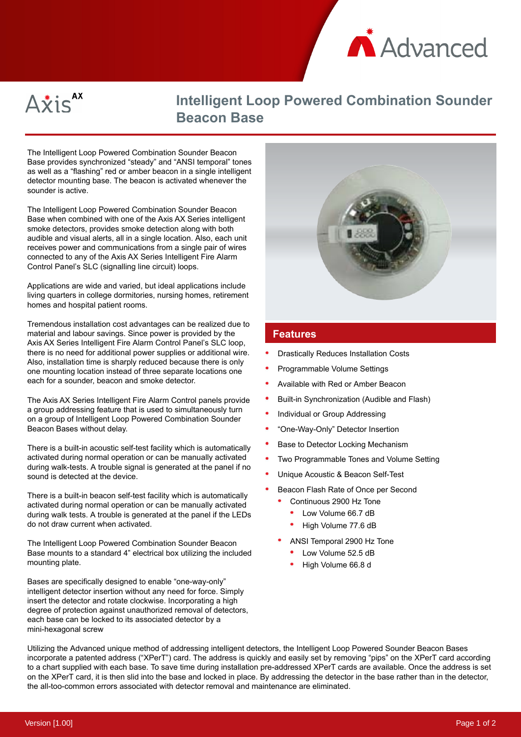



# **Intelligent Loop Powered Combination Sounder Beacon Base**

The Intelligent Loop Powered Combination Sounder Beacon Base provides synchronized "steady" and "ANSI temporal" tones as well as a "flashing" red or amber beacon in a single intelligent detector mounting base. The beacon is activated whenever the sounder is active.

The Intelligent Loop Powered Combination Sounder Beacon Base when combined with one of the Axis AX Series intelligent smoke detectors, provides smoke detection along with both audible and visual alerts, all in a single location. Also, each unit receives power and communications from a single pair of wires connected to any of the Axis AX Series Intelligent Fire Alarm Control Panel's SLC (signalling line circuit) loops.

Applications are wide and varied, but ideal applications include living quarters in college dormitories, nursing homes, retirement homes and hospital patient rooms.

Tremendous installation cost advantages can be realized due to material and labour savings. Since power is provided by the Axis AX Series Intelligent Fire Alarm Control Panel's SLC loop, there is no need for additional power supplies or additional wire. Also, installation time is sharply reduced because there is only one mounting location instead of three separate locations one each for a sounder, beacon and smoke detector.

The Axis AX Series Intelligent Fire Alarm Control panels provide a group addressing feature that is used to simultaneously turn on a group of Intelligent Loop Powered Combination Sounder Beacon Bases without delay.

There is a built-in acoustic self-test facility which is automatically activated during normal operation or can be manually activated during walk-tests. A trouble signal is generated at the panel if no sound is detected at the device.

There is a built-in beacon self-test facility which is automatically activated during normal operation or can be manually activated during walk tests. A trouble is generated at the panel if the LEDs do not draw current when activated.

The Intelligent Loop Powered Combination Sounder Beacon Base mounts to a standard 4" electrical box utilizing the included mounting plate.

Bases are specifically designed to enable "one-way-only" intelligent detector insertion without any need for force. Simply insert the detector and rotate clockwise. Incorporating a high degree of protection against unauthorized removal of detectors, each base can be locked to its associated detector by a mini-hexagonal screw



#### **Features**

- Drastically Reduces Installation Costs
- Programmable Volume Settings
- Available with Red or Amber Beacon
- Built-in Synchronization (Audible and Flash)
- Individual or Group Addressing
- "One-Way-Only" Detector Insertion
- Base to Detector Locking Mechanism
- Two Programmable Tones and Volume Setting
- Unique Acoustic & Beacon Self-Test
- Beacon Flash Rate of Once per Second
	- Continuous 2900 Hz Tone
	- Low Volume 66.7 dB
	- High Volume 77.6 dB
	- ANSI Temporal 2900 Hz Tone
		- Low Volume 52.5 dB
		- High Volume 66.8 d

Utilizing the Advanced unique method of addressing intelligent detectors, the Intelligent Loop Powered Sounder Beacon Bases incorporate a patented address ("XPerT") card. The address is quickly and easily set by removing "pips" on the XPerT card according to a chart supplied with each base. To save time during installation pre-addressed XPerT cards are available. Once the address is set on the XPerT card, it is then slid into the base and locked in place. By addressing the detector in the base rather than in the detector, the all-too-common errors associated with detector removal and maintenance are eliminated.